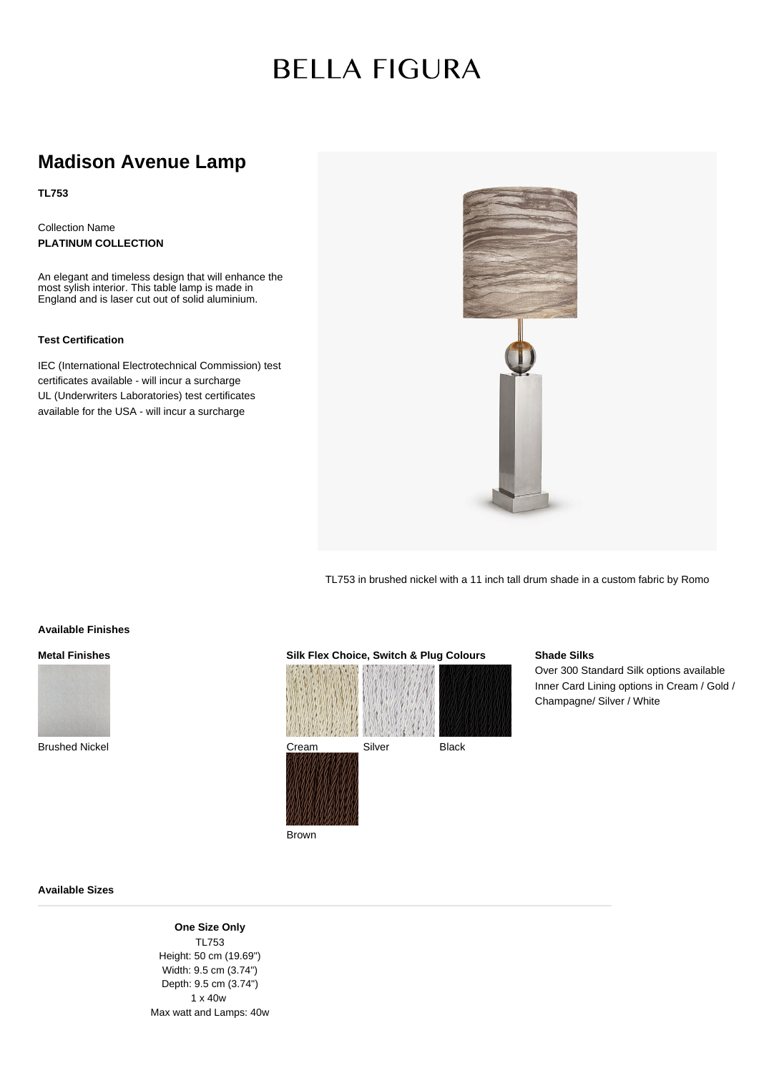# **BELLA FIGURA**

# **Madison Avenue Lamp**

**TL753**

Collection Name **PLATINUM COLLECTION**

An elegant and timeless design that will enhance the most sylish interior. This table lamp is made in England and is laser cut out of solid aluminium.

## **Test Certification**

IEC (International Electrotechnical Commission) test certificates available - will incur a surcharge UL (Underwriters Laboratories) test certificates available for the USA - will incur a surcharge



TL753 in brushed nickel with a 11 inch tall drum shade in a custom fabric by Romo

### **Available Finishes**

# **Metal Finishes**



**Silk Flex Choice, Switch & Plug Colours** Cream Silver Black

Brown

## **Shade Silks**

Over 300 Standard Silk options available Inner Card Lining options in Cream / Gold / Champagne/ Silver / White

#### **Available Sizes**

**One Size Only** TL753 Height: 50 cm (19.69") Width: 9.5 cm (3.74") Depth: 9.5 cm (3.74") 1 x 40w Max watt and Lamps: 40w